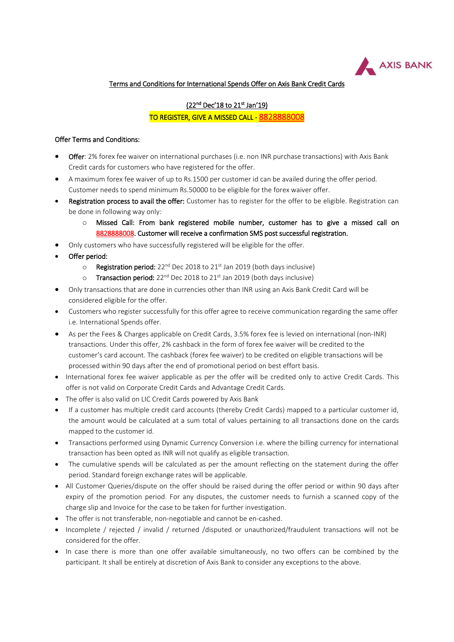

## Terms and Conditions for International Spends Offer on Axis Bank Credit Cards

## <u>(22<sup>nd</sup> Dec'18 to 21<sup>st</sup> Jan'19)</u> TO REGISTER, GIVE A MISSED CALL - [8828888008](tel:8828888008)

## Offer Terms and Conditions:

- **Offer:** 2% forex fee waiver on international purchases (i.e. non INR purchase transactions) with Axis Bank Credit cards for customers who have registered for the offer.
- A maximum forex fee waiver of up to Rs.1500 per customer id can be availed during the offer period. Customer needs to spend minimum Rs.50000 to be eligible for the forex waiver offer.
- Registration process to avail the offer: Customer has to register for the offer to be eligible. Registration can be done in following way only:
	- o Missed Call: From bank registered mobile number, customer has to give a missed call on [8828888008.](tel:8828888008) Customer will receive a confirmation SMS post successful registration.
- Only customers who have successfully registered will be eligible for the offer.
- Offer period:
	- $\circ$  Registration period: 22<sup>nd</sup> Dec 2018 to 21<sup>st</sup> Jan 2019 (both days inclusive)
	- o Transaction period:  $22^{nd}$  Dec 2018 to  $21^{st}$  Jan 2019 (both days inclusive)
- Only transactions that are done in currencies other than INR using an Axis Bank Credit Card will be considered eligible for the offer.
- Customers who register successfully for this offer agree to receive communication regarding the same offer i.e. International Spends offer.
- As per the Fees & Charges applicable on Credit Cards, 3.5% forex fee is levied on international (non-INR) transactions. Under this offer, 2% cashback in the form of forex fee waiver will be credited to the customer's card account. The cashback (forex fee waiver) to be credited on eligible transactions will be processed within 90 days after the end of promotional period on best effort basis.
- International forex fee waiver applicable as per the offer will be credited only to active Credit Cards. This offer is not valid on Corporate Credit Cards and Advantage Credit Cards.
- The offer is also valid on LIC Credit Cards powered by Axis Bank
- If a customer has multiple credit card accounts (thereby Credit Cards) mapped to a particular customer id, the amount would be calculated at a sum total of values pertaining to all transactions done on the cards mapped to the customer id.
- Transactions performed using Dynamic Currency Conversion i.e. where the billing currency for international transaction has been opted as INR will not qualify as eligible transaction.
- The cumulative spends will be calculated as per the amount reflecting on the statement during the offer period. Standard foreign exchange rates will be applicable.
- All Customer Queries/dispute on the offer should be raised during the offer period or within 90 days after expiry of the promotion period. For any disputes, the customer needs to furnish a scanned copy of the charge slip and Invoice for the case to be taken for further investigation.
- The offer is not transferable, non-negotiable and cannot be en-cashed.
- Incomplete / rejected / invalid / returned /disputed or unauthorized/fraudulent transactions will not be considered for the offer.
- In case there is more than one offer available simultaneously, no two offers can be combined by the participant. It shall be entirely at discretion of Axis Bank to consider any exceptions to the above.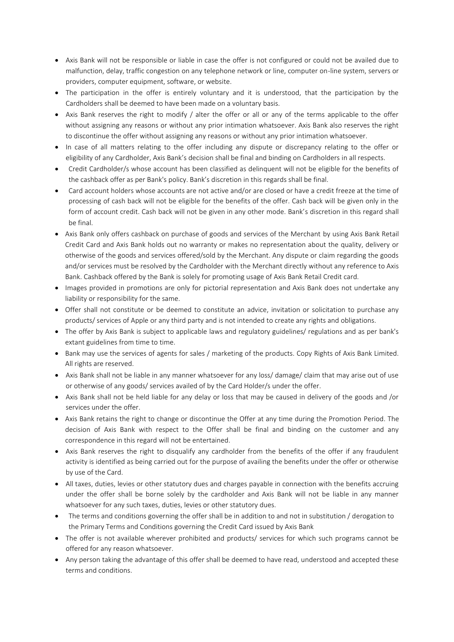- Axis Bank will not be responsible or liable in case the offer is not configured or could not be availed due to malfunction, delay, traffic congestion on any telephone network or line, computer on-line system, servers or providers, computer equipment, software, or website.
- The participation in the offer is entirely voluntary and it is understood, that the participation by the Cardholders shall be deemed to have been made on a voluntary basis.
- Axis Bank reserves the right to modify / alter the offer or all or any of the terms applicable to the offer without assigning any reasons or without any prior intimation whatsoever. Axis Bank also reserves the right to discontinue the offer without assigning any reasons or without any prior intimation whatsoever.
- In case of all matters relating to the offer including any dispute or discrepancy relating to the offer or eligibility of any Cardholder, Axis Bank's decision shall be final and binding on Cardholders in all respects.
- Credit Cardholder/s whose account has been classified as delinquent will not be eligible for the benefits of the cashback offer as per Bank's policy. Bank's discretion in this regards shall be final.
- Card account holders whose accounts are not active and/or are closed or have a credit freeze at the time of processing of cash back will not be eligible for the benefits of the offer. Cash back will be given only in the form of account credit. Cash back will not be given in any other mode. Bank's discretion in this regard shall be final.
- Axis Bank only offers cashback on purchase of goods and services of the Merchant by using Axis Bank Retail Credit Card and Axis Bank holds out no warranty or makes no representation about the quality, delivery or otherwise of the goods and services offered/sold by the Merchant. Any dispute or claim regarding the goods and/or services must be resolved by the Cardholder with the Merchant directly without any reference to Axis Bank. Cashback offered by the Bank is solely for promoting usage of Axis Bank Retail Credit card.
- Images provided in promotions are only for pictorial representation and Axis Bank does not undertake any liability or responsibility for the same.
- Offer shall not constitute or be deemed to constitute an advice, invitation or solicitation to purchase any products/ services of Apple or any third party and is not intended to create any rights and obligations.
- The offer by Axis Bank is subject to applicable laws and regulatory guidelines/ regulations and as per bank's extant guidelines from time to time.
- Bank may use the services of agents for sales / marketing of the products. Copy Rights of Axis Bank Limited. All rights are reserved.
- Axis Bank shall not be liable in any manner whatsoever for any loss/ damage/ claim that may arise out of use or otherwise of any goods/ services availed of by the Card Holder/s under the offer.
- Axis Bank shall not be held liable for any delay or loss that may be caused in delivery of the goods and /or services under the offer.
- Axis Bank retains the right to change or discontinue the Offer at any time during the Promotion Period. The decision of Axis Bank with respect to the Offer shall be final and binding on the customer and any correspondence in this regard will not be entertained.
- Axis Bank reserves the right to disqualify any cardholder from the benefits of the offer if any fraudulent activity is identified as being carried out for the purpose of availing the benefits under the offer or otherwise by use of the Card.
- All taxes, duties, levies or other statutory dues and charges payable in connection with the benefits accruing under the offer shall be borne solely by the cardholder and Axis Bank will not be liable in any manner whatsoever for any such taxes, duties, levies or other statutory dues.
- The terms and conditions governing the offer shall be in addition to and not in substitution / derogation to the Primary Terms and Conditions governing the Credit Card issued by Axis Bank
- The offer is not available wherever prohibited and products/ services for which such programs cannot be offered for any reason whatsoever.
- Any person taking the advantage of this offer shall be deemed to have read, understood and accepted these terms and conditions.